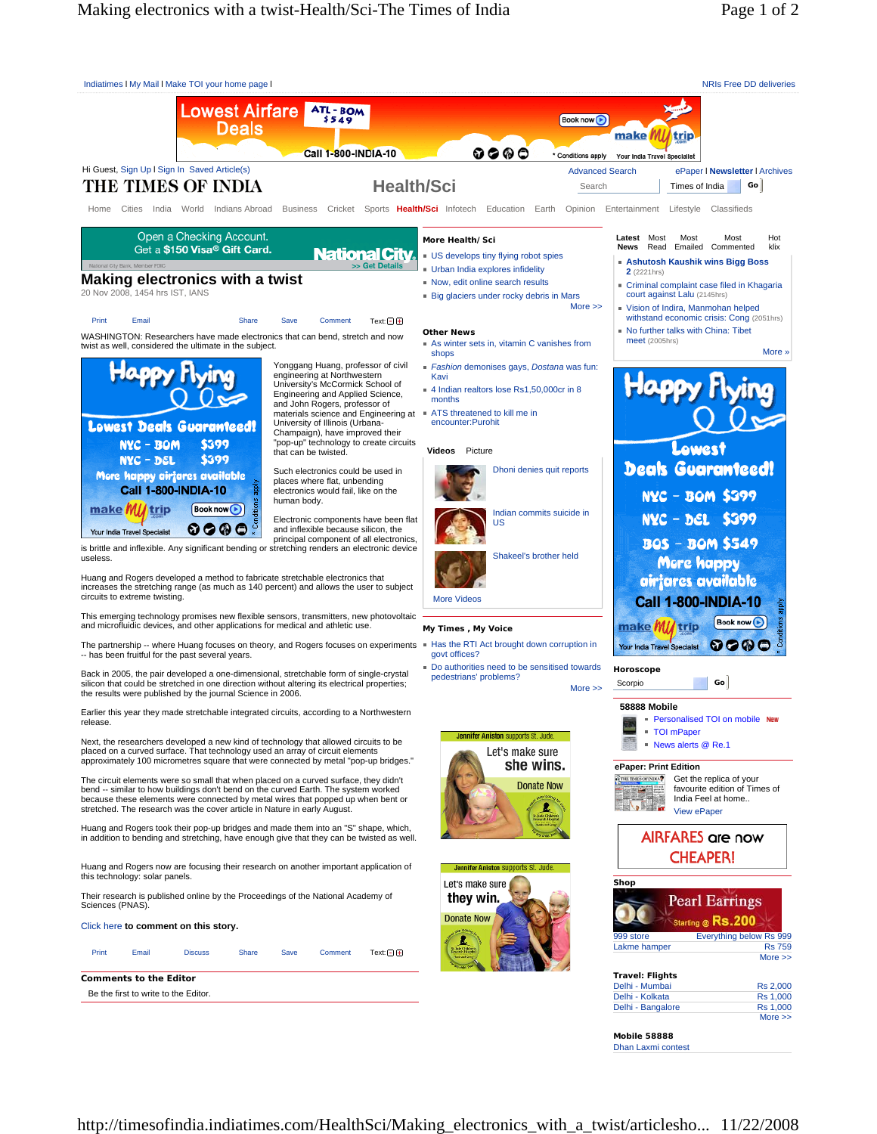